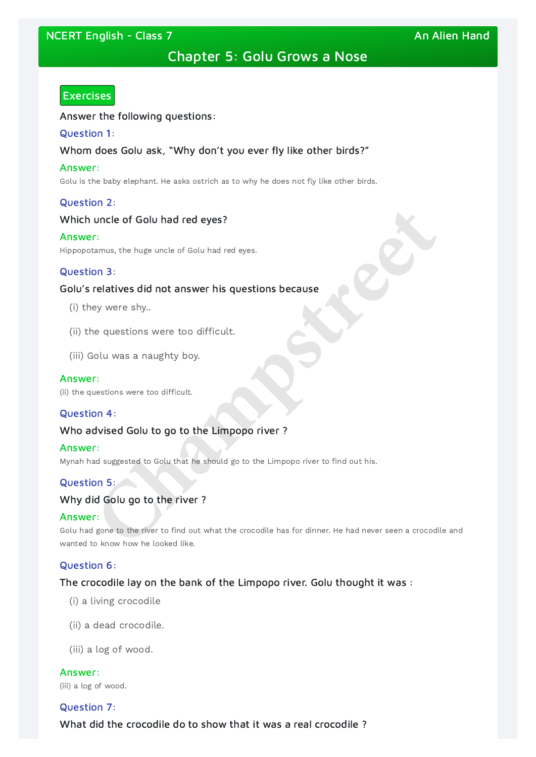# NCERT English - Class 7 An Alien Hand An Alien Hand

# Chapter 5: Golu Grows a Nose

# **Exercises**

Answer the following questions:

#### Question 1:

## Whom does Golu ask, "Why don't you ever fly like other birds?"

#### Answer:

Golu is the baby elephant. He asks ostrich as to why he does not fly like other birds.

## Question 2:

## Which uncle of Golu had red eyes?

#### Answer:

Hippopotamus, the huge uncle of Golu had red eyes.

## Question 3:

Golu had gone to the river to find out what the crocodile has for dinner. He had never seen a crocodile and wanted to know how he looked like. **Channels of Golu had red eyes?**<br> **Channels with the first density of Solu** had red eyes.<br> **Channels and answer his questions because**<br>
ey were shy..<br> **Channels were too difficult.**<br> **Channels were too difficult.**<br> **Channe** 

## Golu's relatives did not answer his questions because

- (i) they were shy..
- (ii) the questions were too difficult.
- (iii) Golu was a naughty boy.

#### Answer:

(ii) the questions were too difficult.

## Question 4:

## Who advised Golu to go to the Limpopo river ?

#### Answer:

Mynah had suggested to Golu that he should go to the Limpopo river to find out his.

## Question 5:

## Why did Golu go to the river ?

#### Answer:

## Question 6:

The crocodile lay on the bank of the Limpopo river. Golu thought it was :

(i) a living crocodile

(ii) a dead crocodile.

(iii) a log of wood.

Answer:

(iii) a log of wood.

## Question 7:

What did the crocodile do to show that it was a real crocodile ?